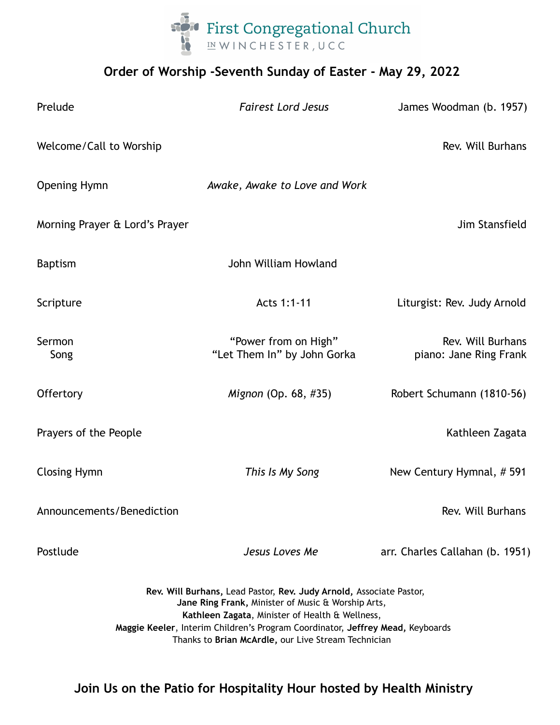

## **Order of Worship -Seventh Sunday of Easter - May 29, 2022**

| Prelude                                                                                                                                                                                                                                                                                                               | <b>Fairest Lord Jesus</b>                           | James Woodman (b. 1957)                     |
|-----------------------------------------------------------------------------------------------------------------------------------------------------------------------------------------------------------------------------------------------------------------------------------------------------------------------|-----------------------------------------------------|---------------------------------------------|
| Welcome/Call to Worship                                                                                                                                                                                                                                                                                               |                                                     | Rev. Will Burhans                           |
| <b>Opening Hymn</b>                                                                                                                                                                                                                                                                                                   | Awake, Awake to Love and Work                       |                                             |
| Morning Prayer & Lord's Prayer                                                                                                                                                                                                                                                                                        |                                                     | Jim Stansfield                              |
| <b>Baptism</b>                                                                                                                                                                                                                                                                                                        | John William Howland                                |                                             |
| Scripture                                                                                                                                                                                                                                                                                                             | Acts 1:1-11                                         | Liturgist: Rev. Judy Arnold                 |
| Sermon<br>Song                                                                                                                                                                                                                                                                                                        | "Power from on High"<br>"Let Them In" by John Gorka | Rev. Will Burhans<br>piano: Jane Ring Frank |
| Offertory                                                                                                                                                                                                                                                                                                             | Mignon (Op. 68, #35)                                | Robert Schumann (1810-56)                   |
| Prayers of the People                                                                                                                                                                                                                                                                                                 |                                                     | Kathleen Zagata                             |
| <b>Closing Hymn</b>                                                                                                                                                                                                                                                                                                   | This Is My Song                                     | New Century Hymnal, #591                    |
| Announcements/Benediction                                                                                                                                                                                                                                                                                             |                                                     | Rev. Will Burhans                           |
| Postlude                                                                                                                                                                                                                                                                                                              | Jesus Loves Me                                      | arr. Charles Callahan (b. 1951)             |
| Rev. Will Burhans, Lead Pastor, Rev. Judy Arnold, Associate Pastor,<br>Jane Ring Frank, Minister of Music & Worship Arts,<br>Kathleen Zagata, Minister of Health & Wellness,<br>Maggie Keeler, Interim Children's Program Coordinator, Jeffrey Mead, Keyboards<br>Thanks to Brian McArdle, our Live Stream Technician |                                                     |                                             |

**Join Us on the Patio for Hospitality Hour hosted by Health Ministry**